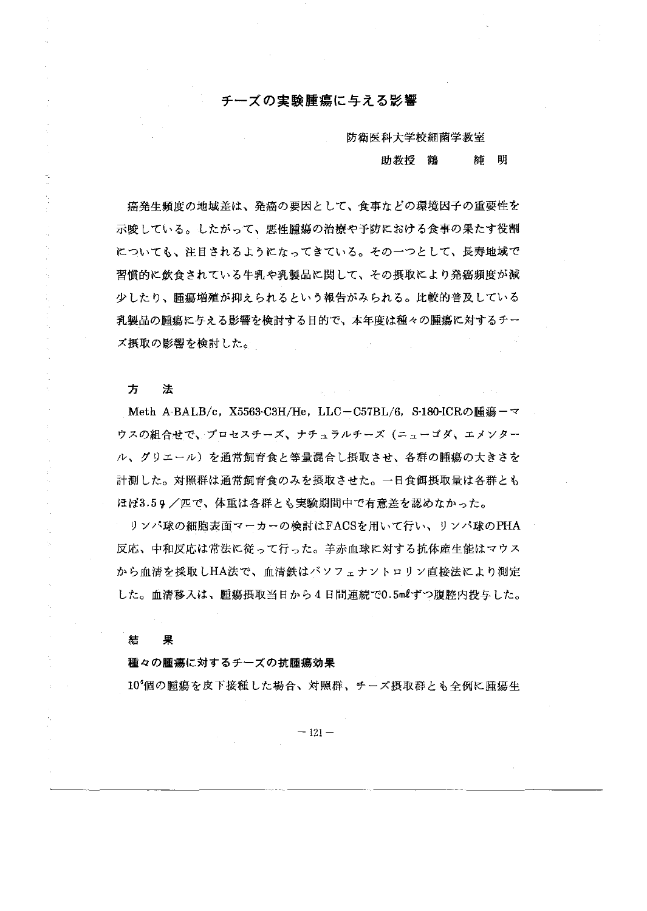# チーズの実験腰蕩に与える影響

防衛医科大学校細菌学教室

## 助教授 鶴 純 朗

癌発生頻度の地域差は、発癌の要因として、食事などの環境因子の重要性を 示唆している。したがって、悪性腫療の治療や予防における食事の果たす役割 についても、注目されるようになってきている。そのーっとして、長寿地域で 習慣的に飲食されている牛乳や乳製品に関して、その摂取により発癌頻度が減 少したり、腫蕩増殖が抑えられるという報告がみられる。比較的普及している 乳製品の腫瘍に与える影響を検討する目的で、本年度は種々の腫瘍に対するチー ズ摂取の影響を検討した。

方 法

Meth A-BALB/c, X5563-C3H/He, LLC-C57BL/6, S-180-ICRの腫瘍ーマ ウスの組合せで、プロセスチーズ、ナチュラルチーズ(ニューゴダ、エメンター ノレ、グリエーノレ)を通常飼育食と等量混合し摂取させ、各群の麗蕩の大きさを 計測 Lた。対照群は通常飼育食のみを摂取させた。一日食餌摂取量は各群とも ほぼ3.59/匹で、体重は各群とも実験期間中で有意差を認めなかった。

リンパ球の細胞表面マーカーの検討はFACSを用いて行い、リ パ球のPHA 反応、中和反応は常法に従って行った。羊赤血球に対する抗体産生能はマウス から血清を採取しHA法で、血清鉄はバソフェナントロリン直接法により測定 した。血清移入は、腫瘍摂取当日から4日間連続で0.5mlずつ腹腔内投与した。

結 果

### 種々の腫蕩に対するチーズの抗腫蕩効果

lO'{岡の腫蕩を皮下接種 Lた場合、対照群、チーズ摂取群とも全例に腫蕩生

 $-121-$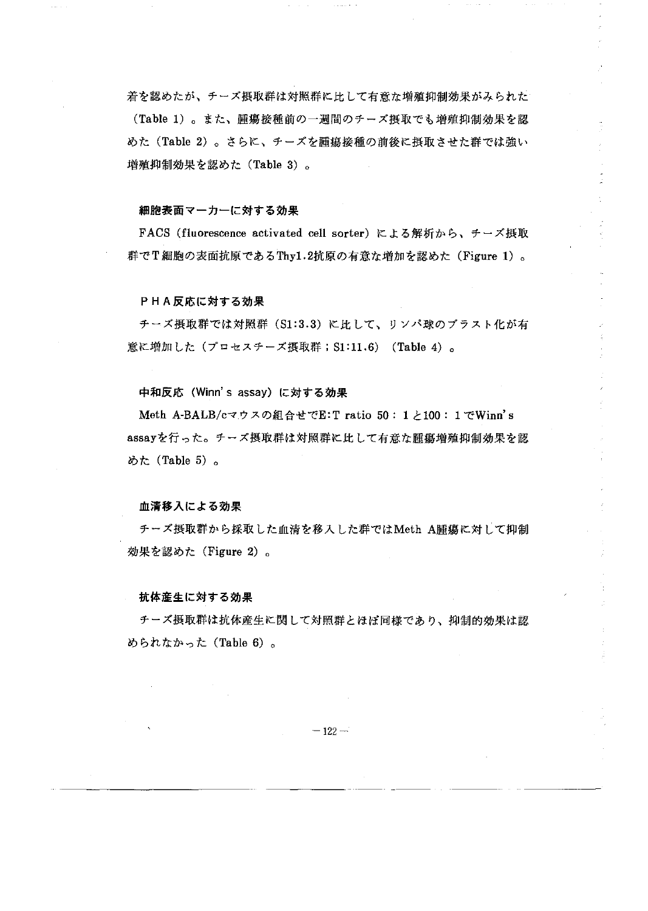着を認めたが、チーズ摂取群は対照群に比して有意な増殖抑制効果がみられた (Table 1)。また、腫場接種前の一週間のチーズ摂取でも増殖抑制効果を認 めた (Table 2)。さらに、チーズを腫瘍接種の前後に摂取させた群では強い 増殖抑制効果を認めた (Table 3)。

#### 細胞表面マーカーに対する効果

FACS (fluorescence activated cell sorter)による解析から、チーズ摂取 群でT細胞の表面抗原であるThy1.2抗原の有意な増加を認めた (Figure 1)。

### PHA反応に対する効果

チーズ摂取群では対照群 (S1:3.3) に比して、リンパ球のブラスト化が有 意に増加した (プロセスチーズ摂取群; S1:11.6) (Table 4) 。

中和反応 (Winn's assay) に対する効果

Meth A-BALB/cマウスの組合せでE:T ratio 50: 1と100: 1 でWinn's assayを行った。チーズ摂取群は対照群に比して有意な腫瘍増殖抑制効果を認 めた (Table 5)。

### 血清移入による効果

チーズ摂取群から採取した血清を移入した群ではMeth A腫瘍に対して抑制 効果を認めた (Figure 2)。

### 抗体産生に対する効果

チーズ摂取群は抗体産生に関して対照群とほぼ同様であり、抑制的効果は認 められなかった (Table 6)。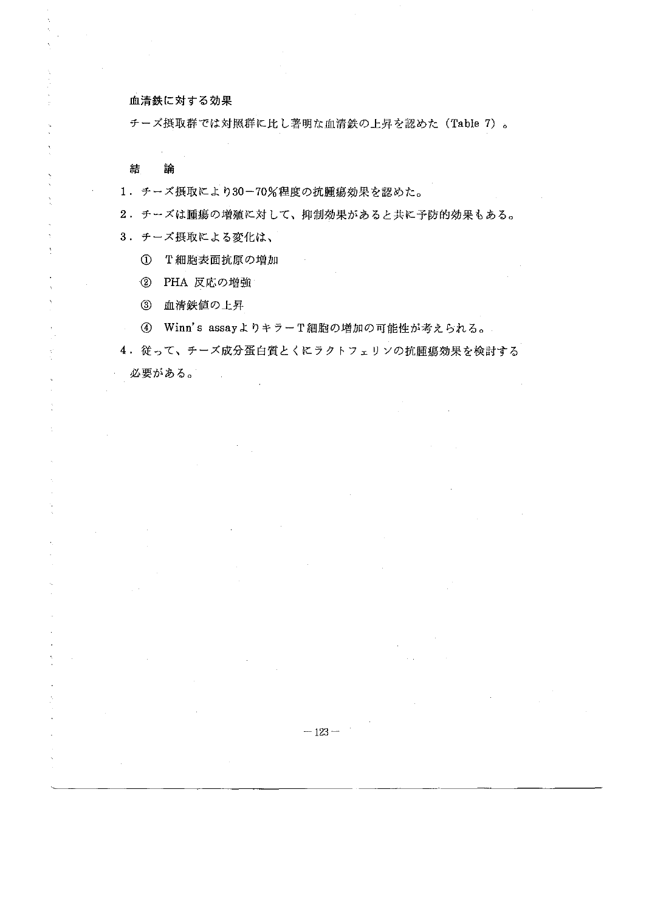## 血清鉄に対する効果

チーズ摂取群では対照群に比し著明な血清鉄の上昇を認めた (Table 7)。

## 結 論

 $\Delta$ 

Ă

 $\bar{z}$ 

 $\Delta$ 

 $\bar{z}$ 

 $\tilde{\chi}$  $\bar{z}$  1.チーズ摂取により 30-70%程度の抗腫蕩効果を認めた。

2. チーズは腫蕩の増殖に対して、抑制効果があると共に予防的効果もある。

3. チーズ摂取による変化は、

① T細胞表面抗原の増加

② PHA反応の増強

③ 血清鉄値の上昇

④ W inn' s assayよりキラー T細胞の増加の可能性が考えられる。

4. 従って、チーズ成分蛋白質とくにラクトフェリンの抗腫瘍効果を検討する 必要がある。

 $-123 -$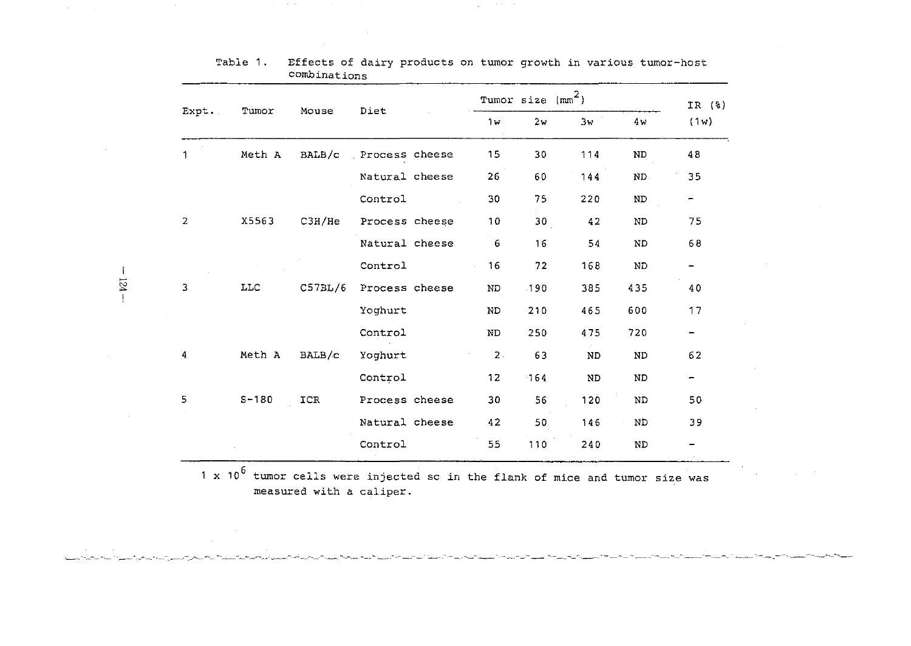|                |           |         |                |               | Tumor size | (mm <sup>2</sup> ) |           | IR (%)                   |
|----------------|-----------|---------|----------------|---------------|------------|--------------------|-----------|--------------------------|
| Expt.          | Tumor     | Mouse   | Diet           | 1w            | 2w         | 3w                 | 4 w       | (1w)                     |
|                | Meth A    | BALB/c  | Process cheese | 15            | 30         | 114                | <b>ND</b> | 48                       |
|                |           |         | Natural cheese | 26            | 60         | 144                | ND.       | 35                       |
|                |           |         | Control        | 30            | 75         | 220                | ND.       | $\overline{\phantom{0}}$ |
| $\overline{2}$ | X5563     | C3H/He  | Process cheese | 10            | 30         | 42                 | ND        | 75                       |
|                |           |         | Natural cheese | 6             | 16         | 54                 | ND.       | 68                       |
|                |           |         | Control        | 16            | 72         | 168                | <b>ND</b> |                          |
| 3              | LLC       | C57BL/6 | Process cheese | ND            | 190        | 385                | 435       | 40                       |
|                |           |         | Yoghurt        | $\mathbf{ND}$ | 210        | 465                | 600       | 17                       |
|                |           |         | Control        | ND            | 250        | 475                | 720       |                          |
| 4              | Meth A    | BALB/c  | Yoghurt        | $\bar{z}$ .   | 63         | <b>ND</b>          | <b>ND</b> | 62                       |
|                |           |         | Control        | 12            | 164        | <b>ND</b>          | ND        | -                        |
| 5              | $S - 180$ | ICR     | Process cheese | 30            | 56         | 120                | ND        | 50                       |
|                |           |         | Natural cheese | 42            | 50         | 146                | ND        | 39                       |
|                |           |         | Control        | 55            | 110        | 240                | <b>ND</b> |                          |

Table 1. Effects of dairy products on tumor growth in various tumor-host combinations

 $\mathcal{A}$ 

 $\sim 10^{-1}$ 

x 10<sup>6</sup> tumor cells were injected sc in the flank of mice and tumor size was measured with a caliper.

<u>la politika poznata na područila podata na postava poznata područava na poznata područava na područava poznat</u>

 $-124 -$ 

 $\mathbf{I}$ 

 $\sim 10^{-7}$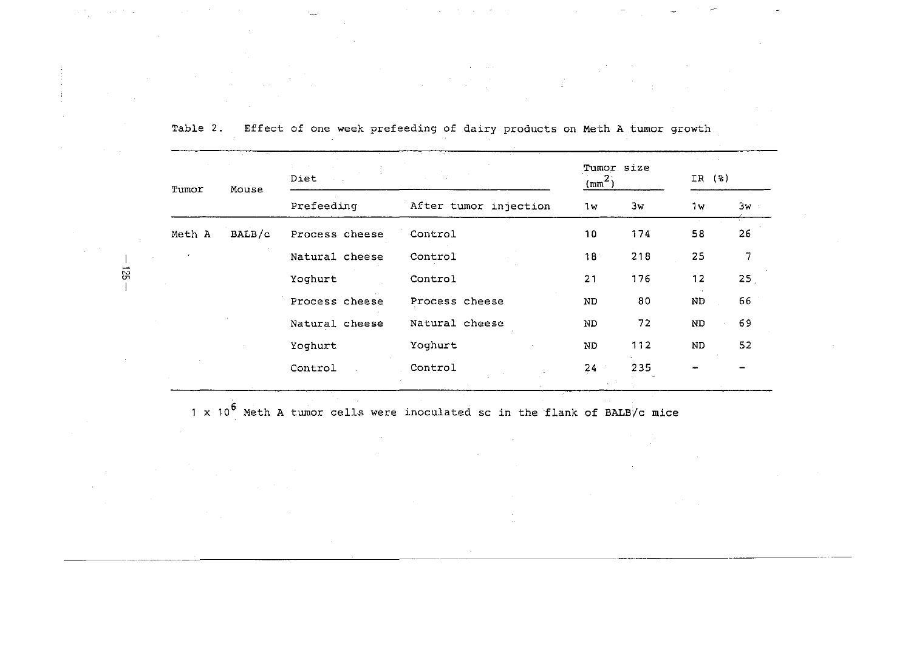|    | Tumor  | Mouse  | Diet           |                       | Tumor size<br>$\left(\text{mm}^2\right)$ |     | $($ $\frac{6}{6}$ $)$<br>IR |    |
|----|--------|--------|----------------|-----------------------|------------------------------------------|-----|-----------------------------|----|
|    |        |        | Prefeeding     | After tumor injection | 1w                                       | 3w  | 1w                          | 3w |
|    | Meth A | BALB/c | Process cheese | Control               | 10                                       | 174 | 5.8                         | 26 |
|    |        |        | Natural cheese | Control               | 18                                       | 218 | 25                          | 7  |
| ទូ |        |        | Yoghurt        | Control               | 21                                       | 176 | 12                          | 25 |
|    |        |        | Process cheese | Process cheese        | ND.                                      | 80  | $\rm ND$                    | 66 |
|    |        |        | Natural cheese | Natural cheese        | ND.                                      | 72  | $\rm ND$                    | 69 |
|    |        |        | Yoghurt        | Yoghurt               | ND                                       | 112 | ND                          | 52 |
|    |        |        | Control        | Control               | 24                                       | 235 |                             |    |

Table 2. Effect of one week prefeeding of dairy products on Meth A tumor growth

 $1 \times 10^6$  Meth A tumor cells were inoculated sc in the flank of BALB/c mice

 $-125$ 

 $\sim$ 

 $\mathcal{F}_{\mathcal{A}}$  ,  $\mathcal{F}_{\mathcal{A}}$ 

**Controlled State**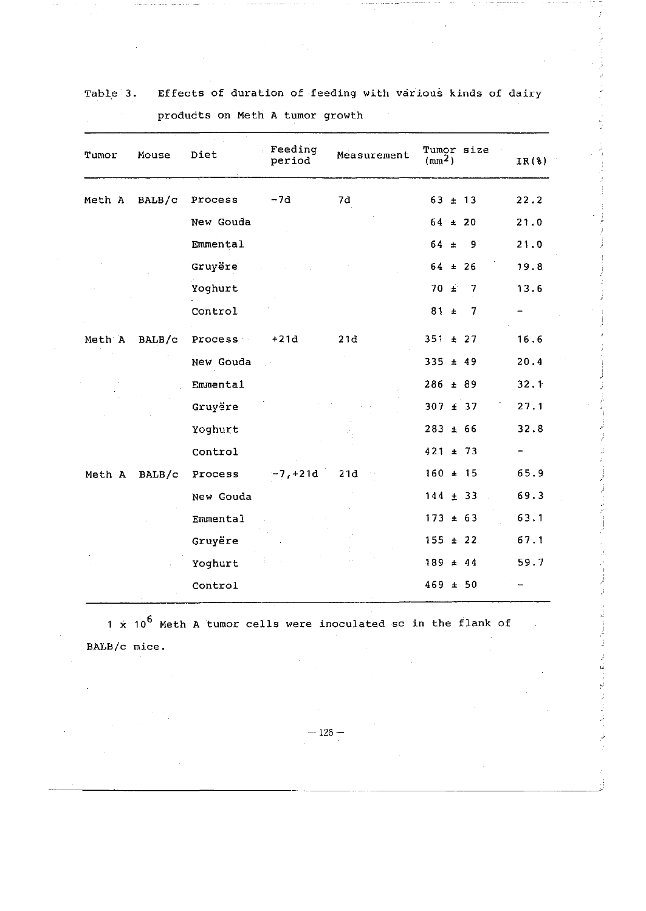| Tumor  | Mouse    | Diet      | Feeding<br>period | Measurement | Tumor size<br>(mm <sup>2</sup> ) | IR(8) |
|--------|----------|-----------|-------------------|-------------|----------------------------------|-------|
| Meth A | BALB/c   | Process   | $-7d$             | 7d          | $63 \pm 13$                      | 22.2  |
|        |          | New Gouda |                   |             | $64 \pm 20$                      | 21.0  |
|        |          | Emmental  |                   |             | $64 \pm$<br>- 9                  | 21.0  |
|        |          | Gruyëre   |                   |             | $64 \pm 26$                      | 19.8  |
|        |          | Yoghurt   |                   |             | $70 \pm$<br>7                    | 13.6  |
|        |          | Control   |                   |             | $81 \pm$<br>7                    |       |
| Meth A | BALB/c   | Process   | $+21d$            | 21d         | $351 \pm 27$                     | 16.6  |
|        |          | New Gouda |                   |             | $335 \pm 49$                     | 20.4  |
|        |          | Emmental  |                   |             | $286 \pm 89$                     | 32.1  |
|        |          | Gruyëre   |                   |             | $307 \pm 37$                     | 27.1  |
|        |          | Yoghurt   |                   |             | $283 + 66$                       | 32.8  |
|        |          | Control   |                   |             | $421 \pm 73$                     |       |
| Meth A | BALB / c | Process   | $-7, +21d$        | 21d         | $160 \pm 15$                     | 65.9  |
|        |          | New Gouda |                   |             | $144 \pm 33$                     | 69.3  |
|        |          | Emmental  |                   |             | $173 \pm 63$                     | 63.1  |
|        |          | Gruyëre   |                   |             | $155 \pm 22$                     | 67.1  |
|        |          | Yoghurt   |                   |             | $189 \pm 44$                     | 59.7  |
|        |          | Control   |                   |             | $469 \pm 50$                     |       |

| Table 3. | Effects of duration of feeding with various kinds of dairy |  |  |  |
|----------|------------------------------------------------------------|--|--|--|
|          | products on Meth A tumor growth                            |  |  |  |

1 x 10<sup>6</sup> Meth A tumor cells were inoculated sc in the flank of BALB/c mice.

 $-126-$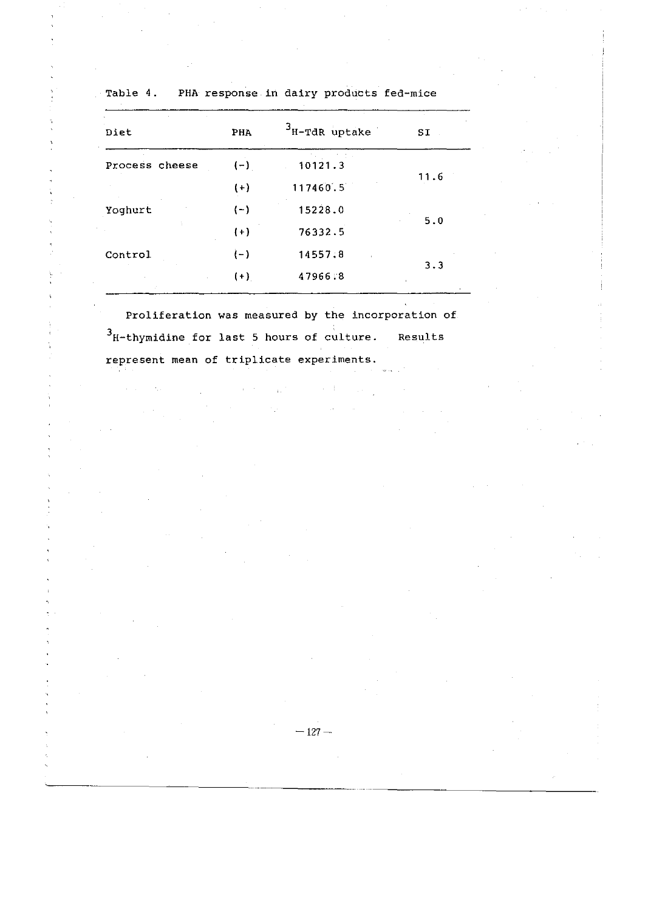| Diet           | PHA   | $3_{\text{H-TdR}}$ uptake | SI   |
|----------------|-------|---------------------------|------|
| Process cheese | $(-)$ | 10121.3                   |      |
|                | $(+)$ | 117460.5                  | 11.6 |
| Yoghurt        | $(-)$ | 15228.0                   |      |
|                | $(+)$ | 76332.5                   | 5.0  |
| Control        | $(-)$ | 14557.8                   |      |
|                | $(+)$ | 47966.8                   | 3.3  |

Table 4. PHA response in dairy products fed-mice

Proliferation was measured by the incorporation of  $3$ H-thymidine for last 5 hours of culture. Results represent mean of triplicate experiments.

 $\alpha = \alpha + \beta$ 

 $\sim$  m  $^2$  ,  $\sim$   $\sim$   $\sim$   $\sim$   $\sim$ 

 $-127-$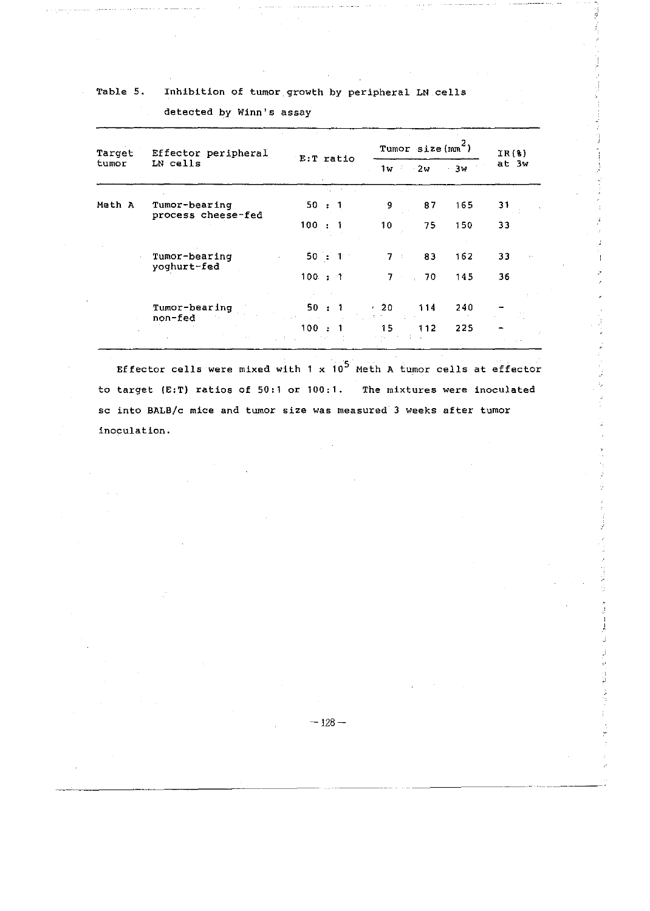## Table 5. Inhlbltion of tumor growth by peripheral LN cells

Tumor size  $(m<sup>2</sup>)$  $IR(8)$  $\frac{1}{1}$ w 2w 3w at 3w Effector peripheral  $E: T$  ratio LN cells Target tumor Tumor-bearing 50:1 9 87 165 31 process cheese-fed Meth A 33 33 150 162 75 83 10  $7<sup>1</sup>$  $100 : 1$ Tumor-bearing 50: 1 yoghurt-fed 100 7 70 145 36 Tumor-bearing 50 20 114 240 non-fed 100 : 1 15 112 225

J

#### detected by Winn's assay

Effector cells were mixed with 1 x 10<sup>5</sup> Meth A tumor cells at effector to target (E:T) ratios of 50:1 or 100・1. The mixtures were inoculated sc into BALB/c mice and tumor size was measured 3 weeks after tumor inoculation.

 $-128-$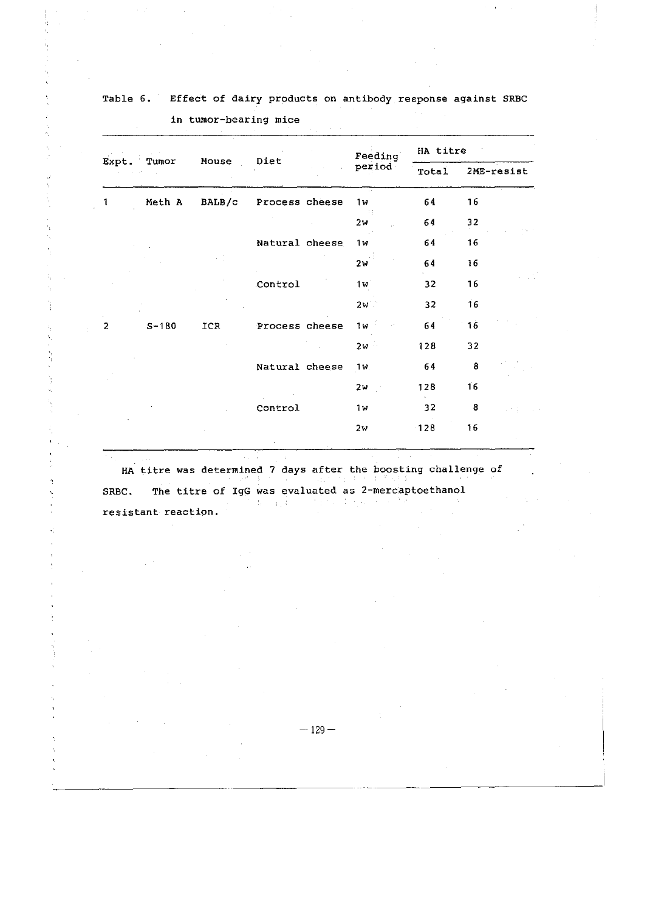|                |           |               |                |  | Feeding        | HA titre |            |  |
|----------------|-----------|---------------|----------------|--|----------------|----------|------------|--|
| Tumor<br>Expt. |           | Mouse<br>Diet |                |  | period         | Total    | 2ME-resist |  |
| 1              | Meth A    | BALB/c        | Process cheese |  | 1w             | 64       | 16         |  |
|                |           |               |                |  | -10<br>2w      | 64       | 32         |  |
|                |           |               | Natural cheese |  | 1w             | 64       | 16         |  |
|                |           |               |                |  | 2w             | 64       | 16         |  |
|                |           |               | Control        |  | 1w             | 32       | 16         |  |
|                |           |               |                |  | 2v             | 32       | 16         |  |
| $\overline{2}$ | $S - 180$ | ICR           | Process cheese |  | 1 <sub>w</sub> | 64       | 16         |  |
|                |           |               |                |  | $2v -$         | 128      | 32         |  |
|                |           |               | Natural cheese |  | 1w             | 64       | 8          |  |
|                |           |               |                |  | 2w             | 128      | 16         |  |
|                |           |               | Control        |  | 1 w            | 32       | 8          |  |
|                |           |               |                |  | 2w             | $-128$   | 16         |  |

Table 6. Effect of dairy products on antibody response against SRBC 1n tumor-bearing mice

HA titre was determined 7 days after the boosting challenge of SRBC. The titre of IgG was evaluated as 2-mercaptoethanol standard in the state of

resistant reaction.

 $-129-$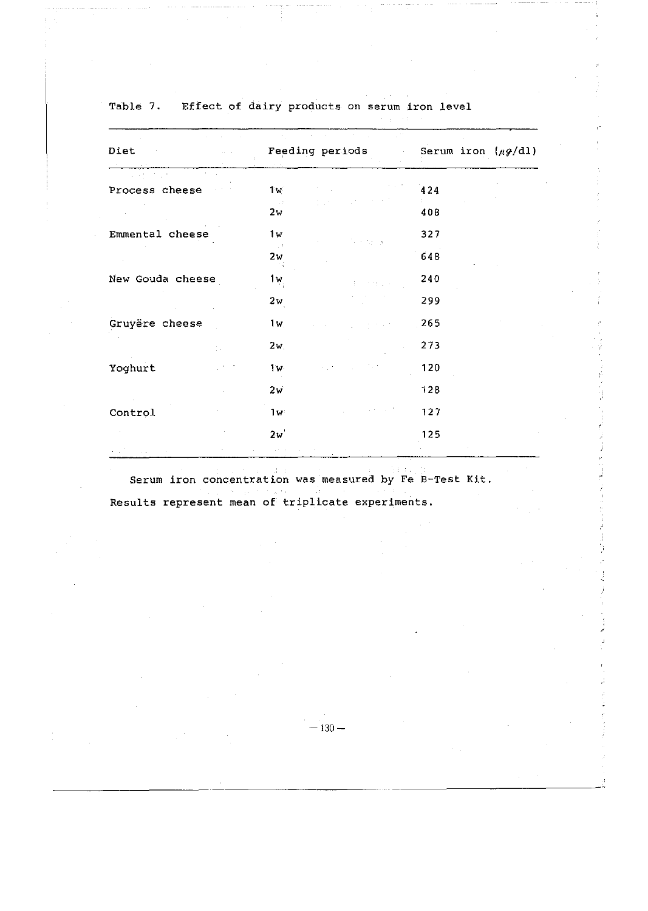| Diet<br>$\mathcal{O}(\mathcal{O})$ . | Feeding periods                                        | Serum iron $(\mu g/\text{d}l)$<br>$\sim$ |
|--------------------------------------|--------------------------------------------------------|------------------------------------------|
| $\alpha = 1/2$                       |                                                        |                                          |
| Process cheese                       | 1w                                                     | 424                                      |
|                                      | $\sim 1.2$<br>2w                                       | 408                                      |
| Emmental cheese                      | 1w<br>$\mathcal{A}=\mathcal{A}_1+\cdots+\mathcal{A}_n$ | 327                                      |
|                                      | $\sim 10$<br>2w                                        | 648                                      |
| New Gouda cheese                     | 1w <sub>:</sub>                                        | 240                                      |
|                                      | 2w                                                     | 299                                      |
| Gruyëre cheese                       | 1w                                                     | 265                                      |
|                                      | 2w <sub>1</sub>                                        | 273                                      |
| Yoghurt                              | 1w                                                     | 120                                      |
|                                      | 2w                                                     | 128                                      |
| Control                              | 1w                                                     | 127                                      |
|                                      | 2w                                                     | 125                                      |

Table 7. Effect of dairy products on serum iron level

Serum iron concentration was measured by Fe B-Test Kit. Results represent mean of triplicate experiments.

 $-130-$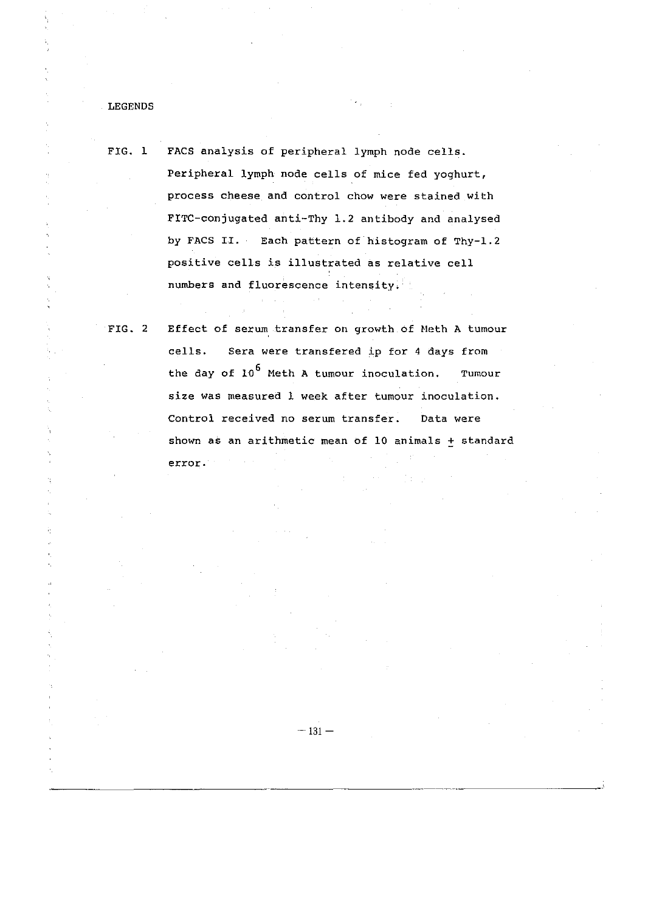LEGENDS

FIG. 1 FACS analysis of peripheral lymph node cells. Peripheral lymph node cells of mice fed yoghurt, process cheese and control chow were stained with FITC-conjugated anti-Thy 1.2 antibody and analysed by FACS II. Each pattern of histogram of Thy-1.2 positive cells is i11ustrated as relative cell numbers and fluorescence intensity.

FIG. 2 Effect of serum transfer on growth of Meth A tumour cells. Sera were transfered ip for 4 days from the day of 10<sup>6</sup> Meth A tumour inoculation. Tumour size was measured 1 week after tumour inoculation. Control received no serum transfer. Data were shown as an arithmetic mean of 10 animals  $+$  standard error.

 $-131-$